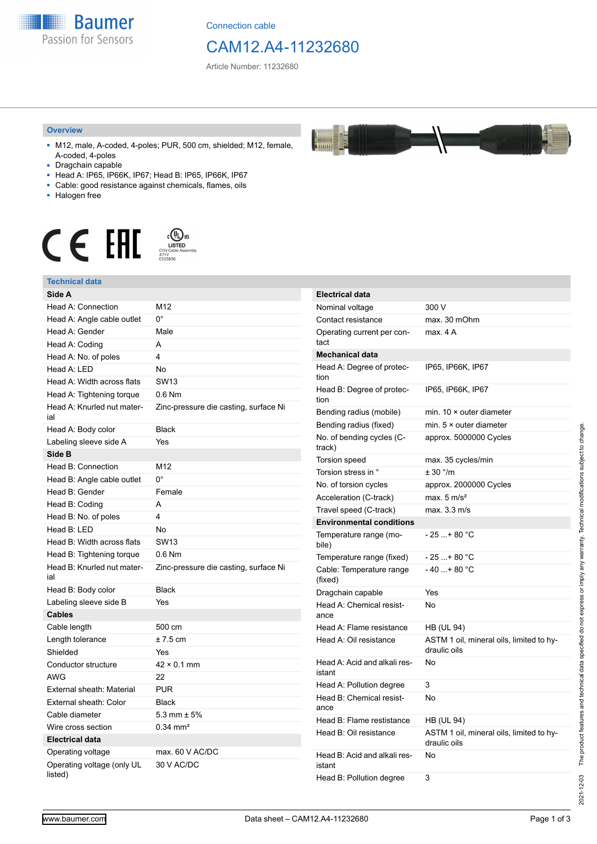

Connection cable

## CAM12.A4-11232680

 $\frac{1}{2}$ 

Article Number: 11232680

#### **Overview**

- M12, male, A-coded, 4-poles; PUR, 500 cm, shielded; M12, female, A-coded, 4-poles
- Dragchain capable
- Head A: IP65, IP66K, IP67; Head B: IP65, IP66K, IP67
- Cable: good resistance against chemicals, flames, oils
- Halogen free



#### **Technical data**

| Technical data                        |                                       |
|---------------------------------------|---------------------------------------|
| Side A                                |                                       |
| Head A: Connection                    | M12                                   |
| Head A: Angle cable outlet            | $0^{\circ}$                           |
| Head A: Gender                        | Male                                  |
| Head A: Coding                        | A                                     |
| Head A: No. of poles                  | 4                                     |
| Head A: LED                           | No                                    |
| Head A: Width across flats            | <b>SW13</b>                           |
| Head A: Tightening torque             | $0.6$ Nm                              |
| Head A: Knurled nut mater-<br>ial     | Zinc-pressure die casting, surface Ni |
| Head A: Body color                    | <b>Black</b>                          |
| Labeling sleeve side A                | Yes                                   |
| Side B                                |                                       |
| Head B: Connection                    | M12                                   |
| Head B: Angle cable outlet            | $0^{\circ}$                           |
| Head B: Gender                        | Female                                |
| Head B: Coding                        | A                                     |
| Head B: No. of poles                  | 4                                     |
| Head B: LED                           | No                                    |
| Head B: Width across flats            | <b>SW13</b>                           |
| Head B: Tightening torque             | $0.6$ Nm                              |
| Head B: Knurled nut mater-<br>ial     | Zinc-pressure die casting, surface Ni |
| Head B: Body color                    | <b>Black</b>                          |
| Labeling sleeve side B                | Yes                                   |
| Cables                                |                                       |
| Cable length                          | 500 cm                                |
| Length tolerance                      | $± 7.5$ cm                            |
| Shielded                              | Yes                                   |
| Conductor structure                   | $42 \times 0.1$ mm                    |
| AWG                                   | 22                                    |
| External sheath: Material             | <b>PUR</b>                            |
| External sheath: Color                | <b>Black</b>                          |
| Cable diameter                        | 5.3 mm $\pm$ 5%                       |
| Wire cross section                    | $0.34$ mm <sup>2</sup>                |
| <b>Electrical data</b>                |                                       |
| Operating voltage                     | max. 60 V AC/DC                       |
| Operating voltage (only UL<br>listed) | 30 V AC/DC                            |

| <b>Electrical data</b>                 |                                                          |  |
|----------------------------------------|----------------------------------------------------------|--|
| Nominal voltage                        | 300 V                                                    |  |
| Contact resistance                     | max. 30 mOhm                                             |  |
| Operating current per con-<br>tact     | max. 4 A                                                 |  |
| <b>Mechanical data</b>                 |                                                          |  |
| Head A: Degree of protec-<br>tion      | IP65, IP66K, IP67                                        |  |
| Head B: Degree of protec-<br>tion      | IP65, IP66K, IP67                                        |  |
| Bending radius (mobile)                | min. $10 \times$ outer diameter                          |  |
| Bending radius (fixed)                 | min. $5 \times$ outer diameter                           |  |
| No. of bending cycles (C-<br>track)    | approx. 5000000 Cycles                                   |  |
| <b>Torsion speed</b>                   | max. 35 cycles/min                                       |  |
| Torsion stress in °                    | ± 30 °/m                                                 |  |
| No. of torsion cycles                  | approx. 2000000 Cycles                                   |  |
| Acceleration (C-track)                 | max. $5 \text{ m/s}^2$                                   |  |
| Travel speed (C-track)                 | max. 3.3 m/s                                             |  |
| <b>Environmental conditions</b>        |                                                          |  |
| Temperature range (mo-<br>bile)        | - 25 + 80 °C                                             |  |
| Temperature range (fixed)              | $-25+80 °C$                                              |  |
| Cable: Temperature range<br>(fixed)    | $-40+80 °C$                                              |  |
| Dragchain capable                      | Yes                                                      |  |
| Head A: Chemical resist-<br>ance       | No                                                       |  |
| Head A: Flame resistance               | HB (UL 94)                                               |  |
| Head A: Oil resistance                 | ASTM 1 oil, mineral oils, limited to hy-<br>draulic oils |  |
| Head A: Acid and alkali res-<br>istant | No                                                       |  |
| Head A: Pollution degree               | 3                                                        |  |
| Head B: Chemical resist-<br>ance       | No                                                       |  |
| Head B: Flame restistance              | HB (UL 94)                                               |  |
| Head B: Oil resistance                 | ASTM 1 oil, mineral oils, limited to hy-<br>draulic oils |  |
| Head B: Acid and alkali res-<br>istant | No                                                       |  |
| Head B: Pollution degree               | 3                                                        |  |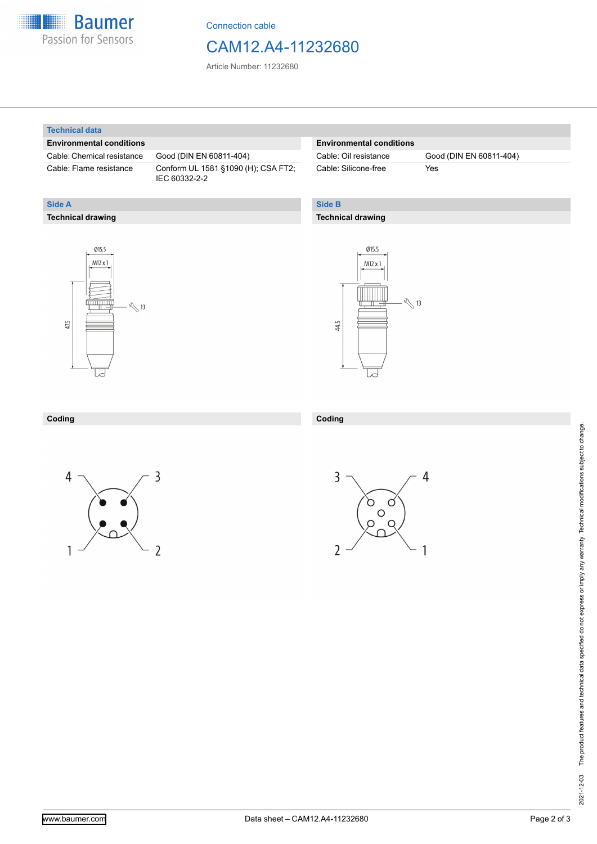

Connection cable

### CAM12.A4-11232680

Article Number: 11232680

#### **Technical data**

**Technical drawing**

**Side A**

#### **Environmental conditions**

Cable: Chemical resistance Good (DIN EN 60811-404)

Cable: Flame resistance Conform UL 1581 §1090 (H); CSA FT2; IEC 60332-2-2

#### **Environmental conditions**

Cable: Silicone-free Yes

Cable: Oil resistance Good (DIN EN 60811-404)

### **Side B**

#### **Technical drawing**





| Coding | Coding |
|--------|--------|
|        |        |